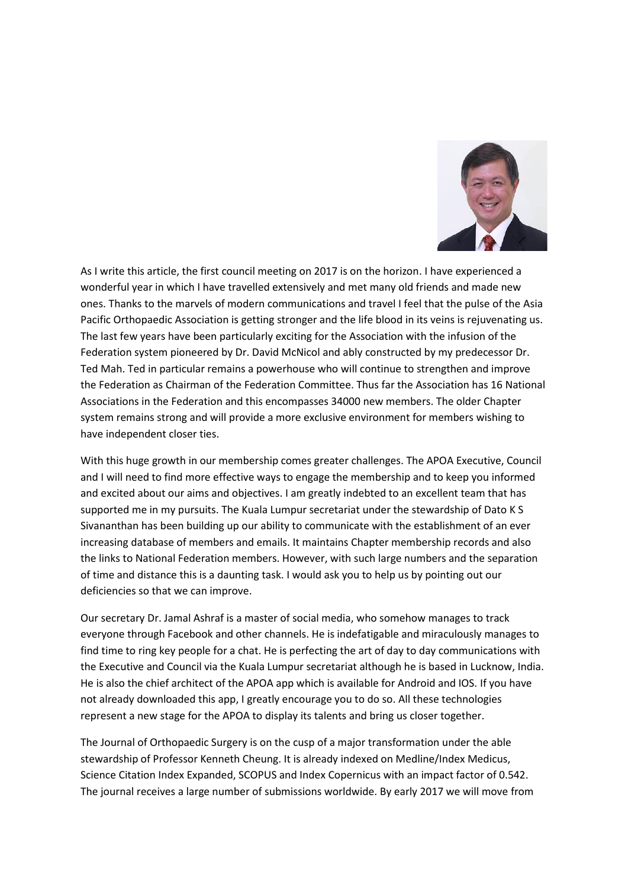

As I write this article, the first council meeting on 2017 is on the horizon. I have experienced a wonderful year in which I have travelled extensively and met many old friends and made new ones. Thanks to the marvels of modern communications and travel I feel that the pulse of the Asia Pacific Orthopaedic Association is getting stronger and the life blood in its veins is rejuvenating us. The last few years have been particularly exciting for the Association with the infusion of the Federation system pioneered by Dr. David McNicol and ably constructed by my predecessor Dr. Ted Mah. Ted in particular remains a powerhouse who will continue to strengthen and improve the Federation as Chairman of the Federation Committee. Thus far the Association has 16 National Associations in the Federation and this encompasses 34000 new members. The older Chapter system remains strong and will provide a more exclusive environment for members wishing to have independent closer ties.

With this huge growth in our membership comes greater challenges. The APOA Executive, Council and I will need to find more effective ways to engage the membership and to keep you informed and excited about our aims and objectives. I am greatly indebted to an excellent team that has supported me in my pursuits. The Kuala Lumpur secretariat under the stewardship of Dato K S Sivananthan has been building up our ability to communicate with the establishment of an ever increasing database of members and emails. It maintains Chapter membership records and also the links to National Federation members. However, with such large numbers and the separation of time and distance this is a daunting task. I would ask you to help us by pointing out our deficiencies so that we can improve.

Our secretary Dr. Jamal Ashraf is a master of social media, who somehow manages to track everyone through Facebook and other channels. He is indefatigable and miraculously manages to find time to ring key people for a chat. He is perfecting the art of day to day communications with the Executive and Council via the Kuala Lumpur secretariat although he is based in Lucknow, India. He is also the chief architect of the APOA app which is available for Android and IOS. If you have not already downloaded this app, I greatly encourage you to do so. All these technologies represent a new stage for the APOA to display its talents and bring us closer together.

The Journal of Orthopaedic Surgery is on the cusp of a major transformation under the able stewardship of Professor Kenneth Cheung. It is already indexed on Medline/Index Medicus, Science Citation Index Expanded, SCOPUS and Index Copernicus with an impact factor of 0.542. The journal receives a large number of submissions worldwide. By early 2017 we will move from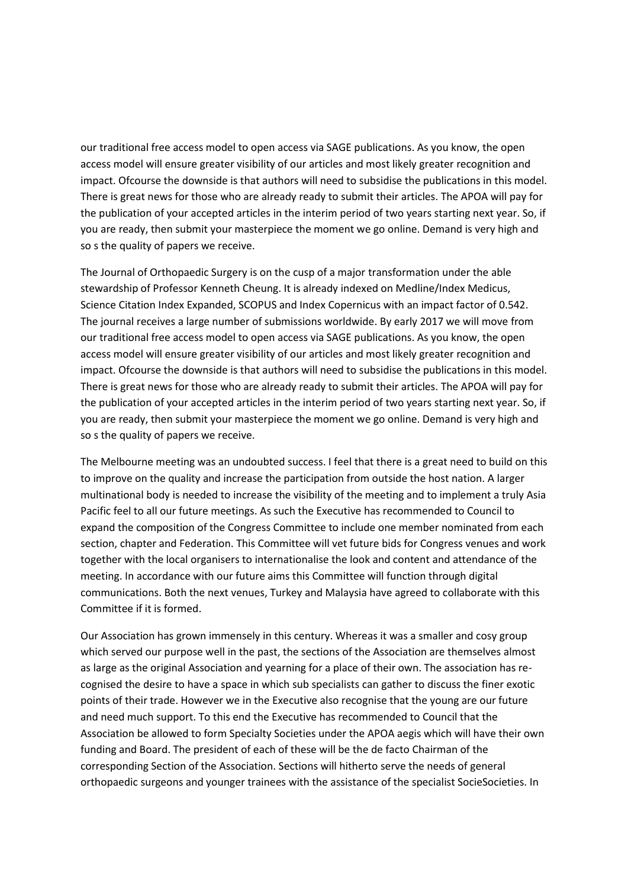our traditional free access model to open access via SAGE publications. As you know, the open access model will ensure greater visibility of our articles and most likely greater recognition and impact. Ofcourse the downside is that authors will need to subsidise the publications in this model. There is great news for those who are already ready to submit their articles. The APOA will pay for the publication of your accepted articles in the interim period of two years starting next year. So, if you are ready, then submit your masterpiece the moment we go online. Demand is very high and so s the quality of papers we receive.

The Journal of Orthopaedic Surgery is on the cusp of a major transformation under the able stewardship of Professor Kenneth Cheung. It is already indexed on Medline/Index Medicus, Science Citation Index Expanded, SCOPUS and Index Copernicus with an impact factor of 0.542. The journal receives a large number of submissions worldwide. By early 2017 we will move from our traditional free access model to open access via SAGE publications. As you know, the open access model will ensure greater visibility of our articles and most likely greater recognition and impact. Ofcourse the downside is that authors will need to subsidise the publications in this model. There is great news for those who are already ready to submit their articles. The APOA will pay for the publication of your accepted articles in the interim period of two years starting next year. So, if you are ready, then submit your masterpiece the moment we go online. Demand is very high and so s the quality of papers we receive.

The Melbourne meeting was an undoubted success. I feel that there is a great need to build on this to improve on the quality and increase the participation from outside the host nation. A larger multinational body is needed to increase the visibility of the meeting and to implement a truly Asia Pacific feel to all our future meetings. As such the Executive has recommended to Council to expand the composition of the Congress Committee to include one member nominated from each section, chapter and Federation. This Committee will vet future bids for Congress venues and work together with the local organisers to internationalise the look and content and attendance of the meeting. In accordance with our future aims this Committee will function through digital communications. Both the next venues, Turkey and Malaysia have agreed to collaborate with this Committee if it is formed.

Our Association has grown immensely in this century. Whereas it was a smaller and cosy group which served our purpose well in the past, the sections of the Association are themselves almost as large as the original Association and yearning for a place of their own. The association has recognised the desire to have a space in which sub specialists can gather to discuss the finer exotic points of their trade. However we in the Executive also recognise that the young are our future and need much support. To this end the Executive has recommended to Council that the Association be allowed to form Specialty Societies under the APOA aegis which will have their own funding and Board. The president of each of these will be the de facto Chairman of the corresponding Section of the Association. Sections will hitherto serve the needs of general orthopaedic surgeons and younger trainees with the assistance of the specialist SocieSocieties. In